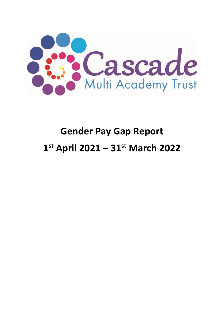

## **Gender Pay Gap Report 1 st April 2021 – 31st March 2022**